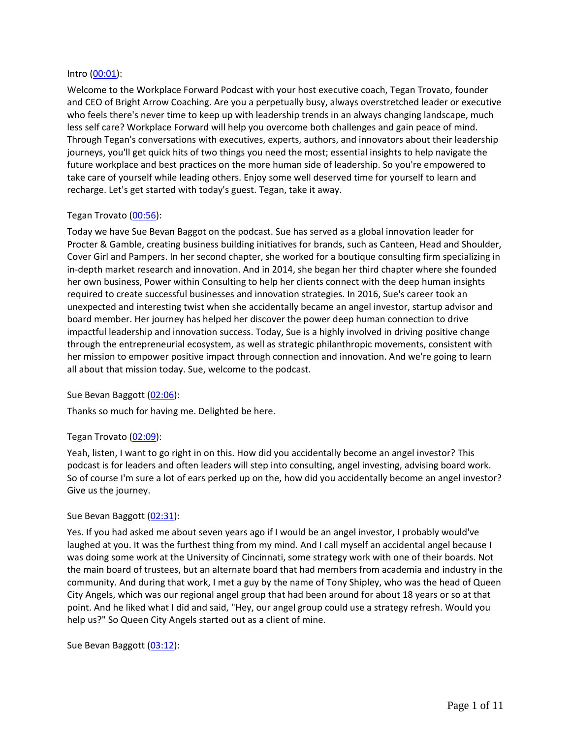#### Intro [\(00:01\)](https://www.rev.com/transcript-editor/Edit?token=MhKPV68FzHBYafog3H1qnN3FVUxbVkwbQ_l2erftnk-2bhwpPfC8nHTjuuZn1uzy61uBsiEovkGSQkdLUZZblNVyZsE&loadFrom=DocumentDeeplink&ts=1.09):

Welcome to the Workplace Forward Podcast with your host executive coach, Tegan Trovato, founder and CEO of Bright Arrow Coaching. Are you a perpetually busy, always overstretched leader or executive who feels there's never time to keep up with leadership trends in an always changing landscape, much less self care? Workplace Forward will help you overcome both challenges and gain peace of mind. Through Tegan's conversations with executives, experts, authors, and innovators about their leadership journeys, you'll get quick hits of two things you need the most; essential insights to help navigate the future workplace and best practices on the more human side of leadership. So you're empowered to take care of yourself while leading others. Enjoy some well deserved time for yourself to learn and recharge. Let's get started with today's guest. Tegan, take it away.

# Tegan Trovato [\(00:56\)](https://www.rev.com/transcript-editor/Edit?token=aRV48dVWGG7UqDToYPaANbDpR9tUaWy1IrahDYkrJkV7xxTL9s_tZnx1CHr6bJYfRGb9Qpn4CNVGoQO4-q-IiVjB5ps&loadFrom=DocumentDeeplink&ts=56.45):

Today we have Sue Bevan Baggot on the podcast. Sue has served as a global innovation leader for Procter & Gamble, creating business building initiatives for brands, such as Canteen, Head and Shoulder, Cover Girl and Pampers. In her second chapter, she worked for a boutique consulting firm specializing in in-depth market research and innovation. And in 2014, she began her third chapter where she founded her own business, Power within Consulting to help her clients connect with the deep human insights required to create successful businesses and innovation strategies. In 2016, Sue's career took an unexpected and interesting twist when she accidentally became an angel investor, startup advisor and board member. Her journey has helped her discover the power deep human connection to drive impactful leadership and innovation success. Today, Sue is a highly involved in driving positive change through the entrepreneurial ecosystem, as well as strategic philanthropic movements, consistent with her mission to empower positive impact through connection and innovation. And we're going to learn all about that mission today. Sue, welcome to the podcast.

#### Sue Bevan Baggott [\(02:06\)](https://www.rev.com/transcript-editor/Edit?token=8qE-H9DFPhPrbsJq5xZ_ItDWCGAg93imPhuI6f2U2az9cLPM7m3JxwFs_3lAvh96lNDwfr6hKR_DQsS30z6adgkabCw&loadFrom=DocumentDeeplink&ts=126.64):

Thanks so much for having me. Delighted be here.

# Tegan Trovato [\(02:09\)](https://www.rev.com/transcript-editor/Edit?token=ZvWLygOVoOeA4Kx9vkbtzY4tM4HD1i7vOdwU1jmX4yeS1QUXOSU9eGgtvYtQd1EjEpD8Qcpqfb8RvETMZrcx2QuByFU&loadFrom=DocumentDeeplink&ts=129.02):

Yeah, listen, I want to go right in on this. How did you accidentally become an angel investor? This podcast is for leaders and often leaders will step into consulting, angel investing, advising board work. So of course I'm sure a lot of ears perked up on the, how did you accidentally become an angel investor? Give us the journey.

#### Sue Bevan Baggott [\(02:31\)](https://www.rev.com/transcript-editor/Edit?token=PQjG2Zl4Ep67VmGXh1TE9gfQ82sJMWBo1xyQYl1XnL85bmasgPS1SkG_jOs8Vaq1XdWYJbzd-cPMQsXUAugRAeNmqk4&loadFrom=DocumentDeeplink&ts=151.62):

Yes. If you had asked me about seven years ago if I would be an angel investor, I probably would've laughed at you. It was the furthest thing from my mind. And I call myself an accidental angel because I was doing some work at the University of Cincinnati, some strategy work with one of their boards. Not the main board of trustees, but an alternate board that had members from academia and industry in the community. And during that work, I met a guy by the name of Tony Shipley, who was the head of Queen City Angels, which was our regional angel group that had been around for about 18 years or so at that point. And he liked what I did and said, "Hey, our angel group could use a strategy refresh. Would you help us?" So Queen City Angels started out as a client of mine.

Sue Bevan Baggott [\(03:12\)](https://www.rev.com/transcript-editor/Edit?token=kwLSLci-nHwHF1BCUtghB1XAPUOmqJnfjmx5KKMPT09N2qOHhlggpwEWCTWvuu9i4HCifKy1WuLBPhxsihl2CpYr0jI&loadFrom=DocumentDeeplink&ts=192.43):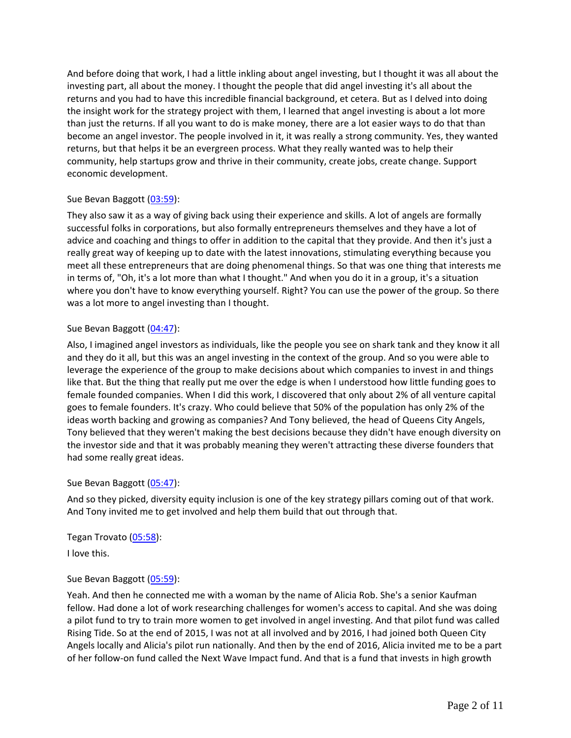And before doing that work, I had a little inkling about angel investing, but I thought it was all about the investing part, all about the money. I thought the people that did angel investing it's all about the returns and you had to have this incredible financial background, et cetera. But as I delved into doing the insight work for the strategy project with them, I learned that angel investing is about a lot more than just the returns. If all you want to do is make money, there are a lot easier ways to do that than become an angel investor. The people involved in it, it was really a strong community. Yes, they wanted returns, but that helps it be an evergreen process. What they really wanted was to help their community, help startups grow and thrive in their community, create jobs, create change. Support economic development.

# Sue Bevan Baggott [\(03:59\)](https://www.rev.com/transcript-editor/Edit?token=yzqakntg5MIh9p5TeL1WPY_Tp85TgYTaq0gc-I70nspGuOeQbCPwZmxjhdmv27zxOnnRlqP_MVBWoHc9D5XwcLDgOTo&loadFrom=DocumentDeeplink&ts=239.67):

They also saw it as a way of giving back using their experience and skills. A lot of angels are formally successful folks in corporations, but also formally entrepreneurs themselves and they have a lot of advice and coaching and things to offer in addition to the capital that they provide. And then it's just a really great way of keeping up to date with the latest innovations, stimulating everything because you meet all these entrepreneurs that are doing phenomenal things. So that was one thing that interests me in terms of, "Oh, it's a lot more than what I thought." And when you do it in a group, it's a situation where you don't have to know everything yourself. Right? You can use the power of the group. So there was a lot more to angel investing than I thought.

### Sue Bevan Baggott [\(04:47\)](https://www.rev.com/transcript-editor/Edit?token=xKMTtE9xt8jFVTcRn4a2R3g4DvPgafQfUFh5deupWrK-lXOmBXSsBcKvOhDkxv3JKZeNRKUWPm1-KEm9sEKD982eRWY&loadFrom=DocumentDeeplink&ts=287.95):

Also, I imagined angel investors as individuals, like the people you see on shark tank and they know it all and they do it all, but this was an angel investing in the context of the group. And so you were able to leverage the experience of the group to make decisions about which companies to invest in and things like that. But the thing that really put me over the edge is when I understood how little funding goes to female founded companies. When I did this work, I discovered that only about 2% of all venture capital goes to female founders. It's crazy. Who could believe that 50% of the population has only 2% of the ideas worth backing and growing as companies? And Tony believed, the head of Queens City Angels, Tony believed that they weren't making the best decisions because they didn't have enough diversity on the investor side and that it was probably meaning they weren't attracting these diverse founders that had some really great ideas.

#### Sue Bevan Baggott [\(05:47\)](https://www.rev.com/transcript-editor/Edit?token=Q4SwGrQ_ZTpifCCz0h78nBTDkGjXJbmx1nYrHjWt8gyDGsHV36dqZ6cdNllZMxaolC4q4Vns3Ruf0yUEaFT6AM26McA&loadFrom=DocumentDeeplink&ts=347.82):

And so they picked, diversity equity inclusion is one of the key strategy pillars coming out of that work. And Tony invited me to get involved and help them build that out through that.

Tegan Trovato [\(05:58\)](https://www.rev.com/transcript-editor/Edit?token=QkKJ1LQdcz7BCHHJi4KqEwovs9WhX8fUmIaP2a3t7Aitt8hLZ3mlpOshrNuKGHby1H8VvUnf3EmRmBFPvR8uecFteos&loadFrom=DocumentDeeplink&ts=358.69): I love this.

# Sue Bevan Baggott [\(05:59\)](https://www.rev.com/transcript-editor/Edit?token=D73kt3hf3tj8xjNiY2zW9TLGayJfSvgD-4weDFHyZ5uztr8DoBH-ZOcj2t-0Dv5FVcVtKTufSp_rpmWhTo3pw_2OsqA&loadFrom=DocumentDeeplink&ts=359.89):

Yeah. And then he connected me with a woman by the name of Alicia Rob. She's a senior Kaufman fellow. Had done a lot of work researching challenges for women's access to capital. And she was doing a pilot fund to try to train more women to get involved in angel investing. And that pilot fund was called Rising Tide. So at the end of 2015, I was not at all involved and by 2016, I had joined both Queen City Angels locally and Alicia's pilot run nationally. And then by the end of 2016, Alicia invited me to be a part of her follow-on fund called the Next Wave Impact fund. And that is a fund that invests in high growth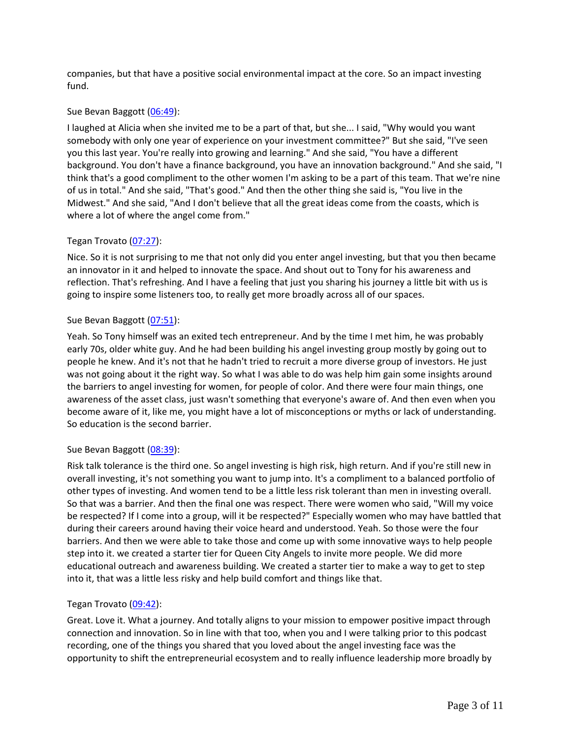companies, but that have a positive social environmental impact at the core. So an impact investing fund.

# Sue Bevan Baggott [\(06:49\)](https://www.rev.com/transcript-editor/Edit?token=eHFCLd-LouX3rAicluUpHCXToeJdp9sh0RvbyENEF7phixYWwOoHrUxXWcMsZmoFguwpP4TOINHWFWcv1JB0rqENH40&loadFrom=DocumentDeeplink&ts=409.89):

I laughed at Alicia when she invited me to be a part of that, but she... I said, "Why would you want somebody with only one year of experience on your investment committee?" But she said, "I've seen you this last year. You're really into growing and learning." And she said, "You have a different background. You don't have a finance background, you have an innovation background." And she said, "I think that's a good compliment to the other women I'm asking to be a part of this team. That we're nine of us in total." And she said, "That's good." And then the other thing she said is, "You live in the Midwest." And she said, "And I don't believe that all the great ideas come from the coasts, which is where a lot of where the angel come from."

# Tegan Trovato [\(07:27\)](https://www.rev.com/transcript-editor/Edit?token=iBFnUKe_dWnC1ssEoO8i1L7T9pai6p_NcCxhod5AkmI6aBuFpAeJAgylWhizaE3c_mhrt7W6RZMexfKpHqJnpmuhLgI&loadFrom=DocumentDeeplink&ts=447.34):

Nice. So it is not surprising to me that not only did you enter angel investing, but that you then became an innovator in it and helped to innovate the space. And shout out to Tony for his awareness and reflection. That's refreshing. And I have a feeling that just you sharing his journey a little bit with us is going to inspire some listeners too, to really get more broadly across all of our spaces.

# Sue Bevan Baggott [\(07:51\)](https://www.rev.com/transcript-editor/Edit?token=PIhys8rbHTxPbYrc97-vzAVrxaS_r40OYx1395p_qiC2xrMzwDZWXgF_xsQmSlaTPauLeKes464chMid_6r5vQtgt5M&loadFrom=DocumentDeeplink&ts=471.95):

Yeah. So Tony himself was an exited tech entrepreneur. And by the time I met him, he was probably early 70s, older white guy. And he had been building his angel investing group mostly by going out to people he knew. And it's not that he hadn't tried to recruit a more diverse group of investors. He just was not going about it the right way. So what I was able to do was help him gain some insights around the barriers to angel investing for women, for people of color. And there were four main things, one awareness of the asset class, just wasn't something that everyone's aware of. And then even when you become aware of it, like me, you might have a lot of misconceptions or myths or lack of understanding. So education is the second barrier.

# Sue Bevan Baggott [\(08:39\)](https://www.rev.com/transcript-editor/Edit?token=kZ-v0rQgUIMvYmKPDSCKjTlCYxuKiFBFpfVhg_eMLRQQ8EzoCxULzE2eKRFt6jEuDR9KI6nt1qJfquz-_iclxBl55KY&loadFrom=DocumentDeeplink&ts=519.58):

Risk talk tolerance is the third one. So angel investing is high risk, high return. And if you're still new in overall investing, it's not something you want to jump into. It's a compliment to a balanced portfolio of other types of investing. And women tend to be a little less risk tolerant than men in investing overall. So that was a barrier. And then the final one was respect. There were women who said, "Will my voice be respected? If I come into a group, will it be respected?" Especially women who may have battled that during their careers around having their voice heard and understood. Yeah. So those were the four barriers. And then we were able to take those and come up with some innovative ways to help people step into it. we created a starter tier for Queen City Angels to invite more people. We did more educational outreach and awareness building. We created a starter tier to make a way to get to step into it, that was a little less risky and help build comfort and things like that.

# Tegan Trovato [\(09:42\)](https://www.rev.com/transcript-editor/Edit?token=0s_d8mY1bYpgy0fq3nhqytC9NAhvO0wAX-Gaz-AJUZyEdt2s00ou6sQKkpCqldwVNAYCbBlZKdIPYJZsh8wF-uIEcPA&loadFrom=DocumentDeeplink&ts=582.43):

Great. Love it. What a journey. And totally aligns to your mission to empower positive impact through connection and innovation. So in line with that too, when you and I were talking prior to this podcast recording, one of the things you shared that you loved about the angel investing face was the opportunity to shift the entrepreneurial ecosystem and to really influence leadership more broadly by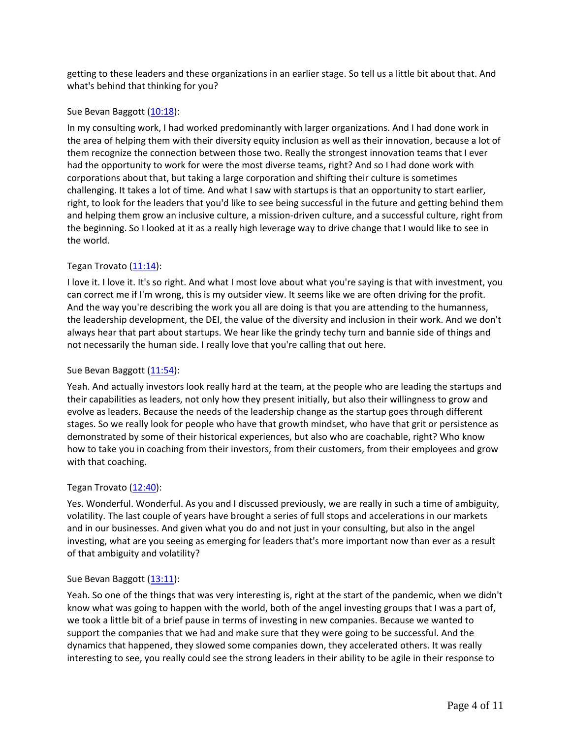getting to these leaders and these organizations in an earlier stage. So tell us a little bit about that. And what's behind that thinking for you?

# Sue Bevan Baggott [\(10:18\)](https://www.rev.com/transcript-editor/Edit?token=I64qovEnrpJP6E778mF2IXTxNObrYQDY35jzpIV8y9HkC3Bjz-awYPTzafzPegH-dibIrU2GTu3cH2hbNStbZGLh2Bs&loadFrom=DocumentDeeplink&ts=618.42):

In my consulting work, I had worked predominantly with larger organizations. And I had done work in the area of helping them with their diversity equity inclusion as well as their innovation, because a lot of them recognize the connection between those two. Really the strongest innovation teams that I ever had the opportunity to work for were the most diverse teams, right? And so I had done work with corporations about that, but taking a large corporation and shifting their culture is sometimes challenging. It takes a lot of time. And what I saw with startups is that an opportunity to start earlier, right, to look for the leaders that you'd like to see being successful in the future and getting behind them and helping them grow an inclusive culture, a mission-driven culture, and a successful culture, right from the beginning. So I looked at it as a really high leverage way to drive change that I would like to see in the world.

# Tegan Trovato [\(11:14\)](https://www.rev.com/transcript-editor/Edit?token=EkTxzYNrC3yZMhzdU2zxyyGMkWSs_uOqFMM_eiGespoqYxQbEvRI3fktu7e85HyKjQOo8cO0kubBBXuv83Y1H0E_S0E&loadFrom=DocumentDeeplink&ts=674.78):

I love it. I love it. It's so right. And what I most love about what you're saying is that with investment, you can correct me if I'm wrong, this is my outsider view. It seems like we are often driving for the profit. And the way you're describing the work you all are doing is that you are attending to the humanness, the leadership development, the DEI, the value of the diversity and inclusion in their work. And we don't always hear that part about startups. We hear like the grindy techy turn and bannie side of things and not necessarily the human side. I really love that you're calling that out here.

# Sue Bevan Baggott [\(11:54\)](https://www.rev.com/transcript-editor/Edit?token=N3UQTCfrDl5HOup6gpfO_G3lJ2_C8VHmRjSNVi1hpiqhENj-CX9pN6qXIIWN5Mx60APfQJQ3j218iyZVs6wxlpN5Ezc&loadFrom=DocumentDeeplink&ts=714.2):

Yeah. And actually investors look really hard at the team, at the people who are leading the startups and their capabilities as leaders, not only how they present initially, but also their willingness to grow and evolve as leaders. Because the needs of the leadership change as the startup goes through different stages. So we really look for people who have that growth mindset, who have that grit or persistence as demonstrated by some of their historical experiences, but also who are coachable, right? Who know how to take you in coaching from their investors, from their customers, from their employees and grow with that coaching.

# Tegan Trovato  $(12:40)$ :

Yes. Wonderful. Wonderful. As you and I discussed previously, we are really in such a time of ambiguity, volatility. The last couple of years have brought a series of full stops and accelerations in our markets and in our businesses. And given what you do and not just in your consulting, but also in the angel investing, what are you seeing as emerging for leaders that's more important now than ever as a result of that ambiguity and volatility?

# Sue Bevan Baggott [\(13:11\)](https://www.rev.com/transcript-editor/Edit?token=8lDvfvswBxR3HGAOThw1J13lq-NJmlGA3XX5oHGtMp0u3zaOgD1LZMnWzTBqoI8ah41f68BgRh3xhXcsOfixn-vno3Y&loadFrom=DocumentDeeplink&ts=791.44):

Yeah. So one of the things that was very interesting is, right at the start of the pandemic, when we didn't know what was going to happen with the world, both of the angel investing groups that I was a part of, we took a little bit of a brief pause in terms of investing in new companies. Because we wanted to support the companies that we had and make sure that they were going to be successful. And the dynamics that happened, they slowed some companies down, they accelerated others. It was really interesting to see, you really could see the strong leaders in their ability to be agile in their response to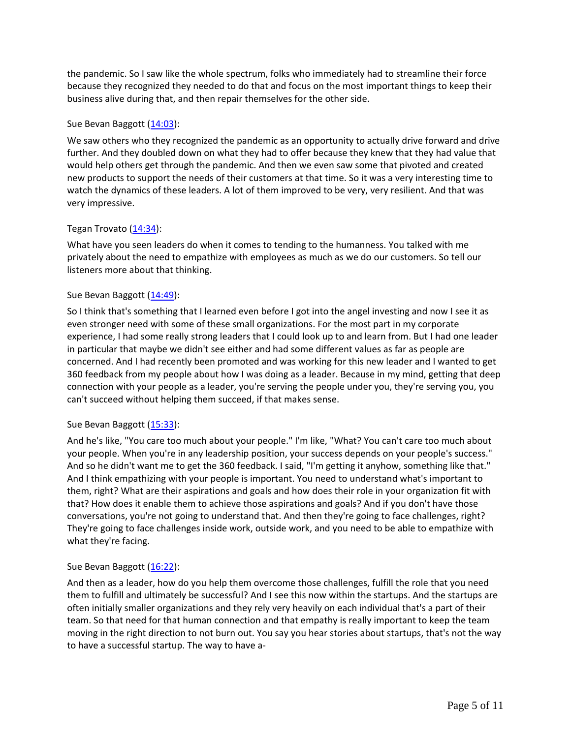the pandemic. So I saw like the whole spectrum, folks who immediately had to streamline their force because they recognized they needed to do that and focus on the most important things to keep their business alive during that, and then repair themselves for the other side.

## Sue Bevan Baggott [\(14:03\)](https://www.rev.com/transcript-editor/Edit?token=E_G1wUVnpfOcFlolTGNM8JXagJtczVGE17eHdSKI5SvTh7kHDP3ELgziUqWZQPrk1EHAhOihknlW0v7eESVJIg49UyM&loadFrom=DocumentDeeplink&ts=843.16):

We saw others who they recognized the pandemic as an opportunity to actually drive forward and drive further. And they doubled down on what they had to offer because they knew that they had value that would help others get through the pandemic. And then we even saw some that pivoted and created new products to support the needs of their customers at that time. So it was a very interesting time to watch the dynamics of these leaders. A lot of them improved to be very, very resilient. And that was very impressive.

### Tegan Trovato  $(14:34)$ :

What have you seen leaders do when it comes to tending to the humanness. You talked with me privately about the need to empathize with employees as much as we do our customers. So tell our listeners more about that thinking.

# Sue Bevan Baggott [\(14:49\)](https://www.rev.com/transcript-editor/Edit?token=VBnT45nYcZeO3MkqE6AYstm1JMSjW74cKeg1hYLZzZkEstsDheEGNseeuTlM5FMhBZ712c8v5cVS_ROWqfvWJp9qffo&loadFrom=DocumentDeeplink&ts=889.61):

So I think that's something that I learned even before I got into the angel investing and now I see it as even stronger need with some of these small organizations. For the most part in my corporate experience, I had some really strong leaders that I could look up to and learn from. But I had one leader in particular that maybe we didn't see either and had some different values as far as people are concerned. And I had recently been promoted and was working for this new leader and I wanted to get 360 feedback from my people about how I was doing as a leader. Because in my mind, getting that deep connection with your people as a leader, you're serving the people under you, they're serving you, you can't succeed without helping them succeed, if that makes sense.

#### Sue Bevan Baggott [\(15:33\)](https://www.rev.com/transcript-editor/Edit?token=Hgps5TKcg8RbOlzADJD5FGd_Io6CmayeqR4_LI-PULtsgadlIU5cboeBIsaOdPxWcxwCbg3hqUh50NtbeeHU6gMhmlA&loadFrom=DocumentDeeplink&ts=933.42):

And he's like, "You care too much about your people." I'm like, "What? You can't care too much about your people. When you're in any leadership position, your success depends on your people's success." And so he didn't want me to get the 360 feedback. I said, "I'm getting it anyhow, something like that." And I think empathizing with your people is important. You need to understand what's important to them, right? What are their aspirations and goals and how does their role in your organization fit with that? How does it enable them to achieve those aspirations and goals? And if you don't have those conversations, you're not going to understand that. And then they're going to face challenges, right? They're going to face challenges inside work, outside work, and you need to be able to empathize with what they're facing.

# Sue Bevan Baggott [\(16:22\)](https://www.rev.com/transcript-editor/Edit?token=8_sTaiejKw7qcDH2rIPtwnZeqPOwG-PzxgDglXae6kQ0dOaRrD3Wn4o9uTvlPW0YrOf_vqWJGZW4AlVNyj7_-v8aTmE&loadFrom=DocumentDeeplink&ts=982.86):

And then as a leader, how do you help them overcome those challenges, fulfill the role that you need them to fulfill and ultimately be successful? And I see this now within the startups. And the startups are often initially smaller organizations and they rely very heavily on each individual that's a part of their team. So that need for that human connection and that empathy is really important to keep the team moving in the right direction to not burn out. You say you hear stories about startups, that's not the way to have a successful startup. The way to have a-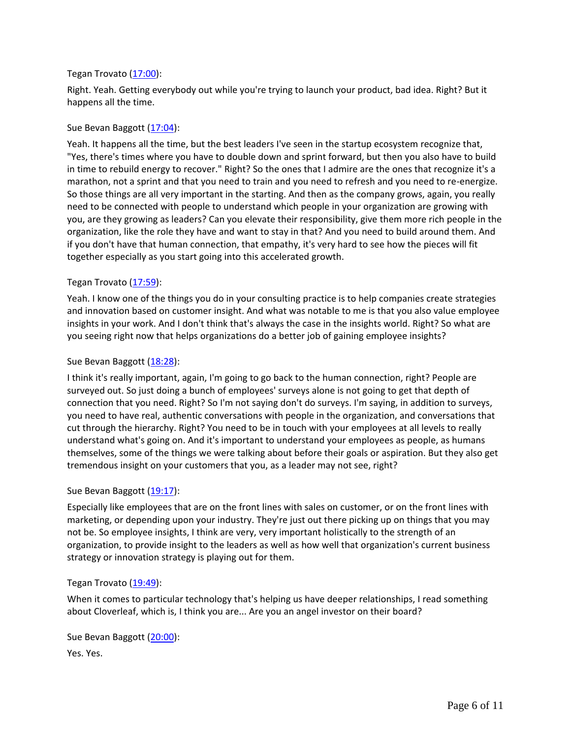### Tegan Trovato [\(17:00\)](https://www.rev.com/transcript-editor/Edit?token=LCpi7k2m-RXXhCH2lCpdzFnNo55xBaZIlEUK1dap25plRkG_FnV9v6Lnuxrc-zIm-U-0Et-XjMgBKCudM6a_UAEkgII&loadFrom=DocumentDeeplink&ts=1020):

Right. Yeah. Getting everybody out while you're trying to launch your product, bad idea. Right? But it happens all the time.

## Sue Bevan Baggott [\(17:04\)](https://www.rev.com/transcript-editor/Edit?token=HMCq_JGTOswJMA_6VLXvtwRJ9zk65y7Io0UOPZc_mpWJEn-6dwQzAnL4gcBnudCyIyWCr8NjlBsMKusEXPmKv0R6wSk&loadFrom=DocumentDeeplink&ts=1024.33):

Yeah. It happens all the time, but the best leaders I've seen in the startup ecosystem recognize that, "Yes, there's times where you have to double down and sprint forward, but then you also have to build in time to rebuild energy to recover." Right? So the ones that I admire are the ones that recognize it's a marathon, not a sprint and that you need to train and you need to refresh and you need to re-energize. So those things are all very important in the starting. And then as the company grows, again, you really need to be connected with people to understand which people in your organization are growing with you, are they growing as leaders? Can you elevate their responsibility, give them more rich people in the organization, like the role they have and want to stay in that? And you need to build around them. And if you don't have that human connection, that empathy, it's very hard to see how the pieces will fit together especially as you start going into this accelerated growth.

### Tegan Trovato [\(17:59\)](https://www.rev.com/transcript-editor/Edit?token=EYKc79C6o8S0KhJ-BUTOf6rRXljeAmN177oNIZJkicaI595_0Za2x3PZWSs9JEdwRk5Uxqmgfr9nwO60xeDeMeChEBM&loadFrom=DocumentDeeplink&ts=1079.22):

Yeah. I know one of the things you do in your consulting practice is to help companies create strategies and innovation based on customer insight. And what was notable to me is that you also value employee insights in your work. And I don't think that's always the case in the insights world. Right? So what are you seeing right now that helps organizations do a better job of gaining employee insights?

### Sue Bevan Baggott [\(18:28\)](https://www.rev.com/transcript-editor/Edit?token=Q6KPcpbmZs52XePKZdAagAnOYoMP3PiYpzsZmM7iEuWbQUpujeCQBFnzkC2ylnnts1bhNzgiYOma7uekweFVKwO_Qbc&loadFrom=DocumentDeeplink&ts=1108.53):

I think it's really important, again, I'm going to go back to the human connection, right? People are surveyed out. So just doing a bunch of employees' surveys alone is not going to get that depth of connection that you need. Right? So I'm not saying don't do surveys. I'm saying, in addition to surveys, you need to have real, authentic conversations with people in the organization, and conversations that cut through the hierarchy. Right? You need to be in touch with your employees at all levels to really understand what's going on. And it's important to understand your employees as people, as humans themselves, some of the things we were talking about before their goals or aspiration. But they also get tremendous insight on your customers that you, as a leader may not see, right?

#### Sue Bevan Baggott [\(19:17\)](https://www.rev.com/transcript-editor/Edit?token=lWQn7709hH69r3Ar2I3ICAWNvuqinRtTs78URingCZXY3MJWiitJdtyWvgpyyUDa133A3Dsaeij3h6K4Y54cWXMXwy4&loadFrom=DocumentDeeplink&ts=1157.17):

Especially like employees that are on the front lines with sales on customer, or on the front lines with marketing, or depending upon your industry. They're just out there picking up on things that you may not be. So employee insights, I think are very, very important holistically to the strength of an organization, to provide insight to the leaders as well as how well that organization's current business strategy or innovation strategy is playing out for them.

#### Tegan Trovato [\(19:49\)](https://www.rev.com/transcript-editor/Edit?token=Cl65xr_s3My8uaQUm8h_rVpeMGVHxfJwl13fJAvfBwaS0bgNZw3BVBq2KZudX-NyIIml5LWvBBACJ9W_nV_TM6iK47I&loadFrom=DocumentDeeplink&ts=1189.08):

When it comes to particular technology that's helping us have deeper relationships, I read something about Cloverleaf, which is, I think you are... Are you an angel investor on their board?

Sue Bevan Baggott [\(20:00\)](https://www.rev.com/transcript-editor/Edit?token=pzSoHCQDrF2QObO5H6QQOBfp9jba44zcqhClOGtyI1s9RUUOJ2tsYxHG0Rzc0oWwRjx21p9dxqBZ4AZWpZsfcDih7nI&loadFrom=DocumentDeeplink&ts=1200.26):

Yes. Yes.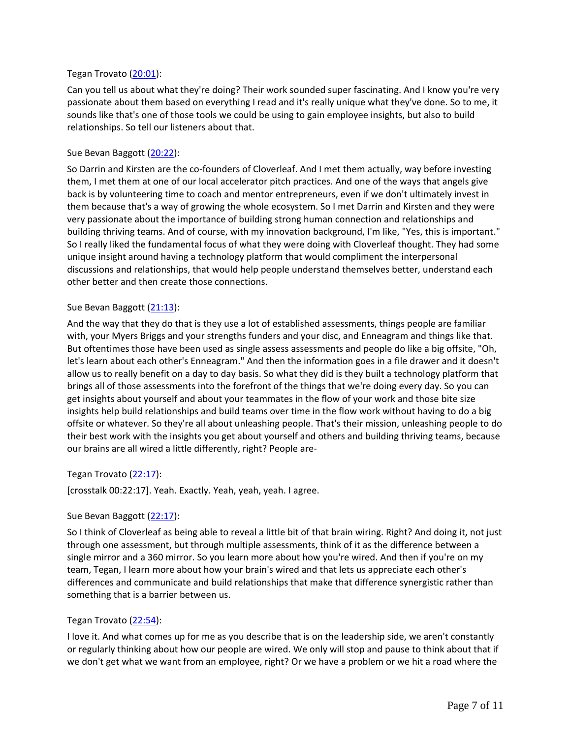## Tegan Trovato [\(20:01\)](https://www.rev.com/transcript-editor/Edit?token=cDQSj3uStDjZnwyYW-EAok28t9qxJOCfcnN5Zonu8qiBl9a8iwmbIESilIg9aP67bLptgAWGYrLmF-XgUCzk4nJUhEY&loadFrom=DocumentDeeplink&ts=1201.63):

Can you tell us about what they're doing? Their work sounded super fascinating. And I know you're very passionate about them based on everything I read and it's really unique what they've done. So to me, it sounds like that's one of those tools we could be using to gain employee insights, but also to build relationships. So tell our listeners about that.

### Sue Bevan Baggott [\(20:22\)](https://www.rev.com/transcript-editor/Edit?token=5F5lVHxnEVeaVhqxyL7wOp2J1oJSx0Oht0JZowv91Um0AR3gTFQJPkdijpcVJhMUx8e7J0QcaYoOyUmPnd8fUgy7-V4&loadFrom=DocumentDeeplink&ts=1222.24):

So Darrin and Kirsten are the co-founders of Cloverleaf. And I met them actually, way before investing them, I met them at one of our local accelerator pitch practices. And one of the ways that angels give back is by volunteering time to coach and mentor entrepreneurs, even if we don't ultimately invest in them because that's a way of growing the whole ecosystem. So I met Darrin and Kirsten and they were very passionate about the importance of building strong human connection and relationships and building thriving teams. And of course, with my innovation background, I'm like, "Yes, this is important." So I really liked the fundamental focus of what they were doing with Cloverleaf thought. They had some unique insight around having a technology platform that would compliment the interpersonal discussions and relationships, that would help people understand themselves better, understand each other better and then create those connections.

### Sue Bevan Baggott [\(21:13\)](https://www.rev.com/transcript-editor/Edit?token=aGQk4xcdw96MsyrVJ6KxS-4mAGj30tK5kWuH1ImEmhScYCksTKJu0Rnj9Z541EinUFAjdz0Ho6_QbvB1OAQ7WRc6kNs&loadFrom=DocumentDeeplink&ts=1273.63):

And the way that they do that is they use a lot of established assessments, things people are familiar with, your Myers Briggs and your strengths funders and your disc, and Enneagram and things like that. But oftentimes those have been used as single assess assessments and people do like a big offsite, "Oh, let's learn about each other's Enneagram." And then the information goes in a file drawer and it doesn't allow us to really benefit on a day to day basis. So what they did is they built a technology platform that brings all of those assessments into the forefront of the things that we're doing every day. So you can get insights about yourself and about your teammates in the flow of your work and those bite size insights help build relationships and build teams over time in the flow work without having to do a big offsite or whatever. So they're all about unleashing people. That's their mission, unleashing people to do their best work with the insights you get about yourself and others and building thriving teams, because our brains are all wired a little differently, right? People are-

# Tegan Trovato [\(22:17\)](https://www.rev.com/transcript-editor/Edit?token=PpexPez8-5K3U6-Te4g-qnL6wD6sdQpEE8LCepcckjRcrfBYzjWCHdLLR6cg542t_g4sOtfJ7_0tm9sSqcVP4kE80VA&loadFrom=DocumentDeeplink&ts=1337):

[crosstalk 00:22:17]. Yeah. Exactly. Yeah, yeah, yeah. I agree.

#### Sue Bevan Baggott [\(22:17\)](https://www.rev.com/transcript-editor/Edit?token=2I5WTpgXsh4y4DSziA755mb5SY6bRoKSZZJfKxUcnnYG8SF98BsNZ3y3Ek8U-nQzeOxr2GjRcnFnNuoXB0uxlJk-hEY&loadFrom=DocumentDeeplink&ts=1337):

So I think of Cloverleaf as being able to reveal a little bit of that brain wiring. Right? And doing it, not just through one assessment, but through multiple assessments, think of it as the difference between a single mirror and a 360 mirror. So you learn more about how you're wired. And then if you're on my team, Tegan, I learn more about how your brain's wired and that lets us appreciate each other's differences and communicate and build relationships that make that difference synergistic rather than something that is a barrier between us.

#### Tegan Trovato [\(22:54\)](https://www.rev.com/transcript-editor/Edit?token=Cl65mRhjcKyps0BQZzUH14s2qb0N8rddB2nPN7GDbjPxx0oJzdaMpUIfldyqPVhN29V6tZbSR1nL6t7q22T4ylTOSnU&loadFrom=DocumentDeeplink&ts=1374.05):

I love it. And what comes up for me as you describe that is on the leadership side, we aren't constantly or regularly thinking about how our people are wired. We only will stop and pause to think about that if we don't get what we want from an employee, right? Or we have a problem or we hit a road where the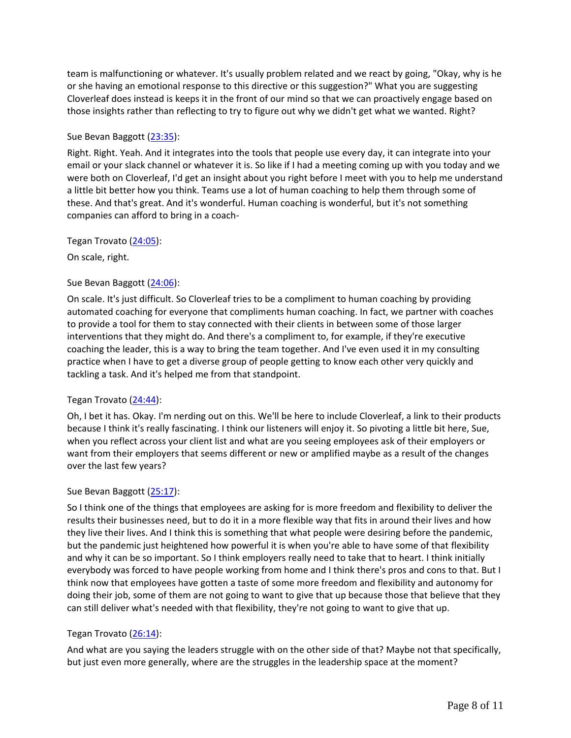team is malfunctioning or whatever. It's usually problem related and we react by going, "Okay, why is he or she having an emotional response to this directive or this suggestion?" What you are suggesting Cloverleaf does instead is keeps it in the front of our mind so that we can proactively engage based on those insights rather than reflecting to try to figure out why we didn't get what we wanted. Right?

# Sue Bevan Baggott [\(23:35\)](https://www.rev.com/transcript-editor/Edit?token=1nJ5G9FTp4GJg-yrc_wzfA9zu84jko5xj3wwP6T_-6YyB1CP1CWEAwW7Ma4j8l7pnw--LnX9mSwB7COBg5Ff9_jdgMA&loadFrom=DocumentDeeplink&ts=1415.91):

Right. Right. Yeah. And it integrates into the tools that people use every day, it can integrate into your email or your slack channel or whatever it is. So like if I had a meeting coming up with you today and we were both on Cloverleaf, I'd get an insight about you right before I meet with you to help me understand a little bit better how you think. Teams use a lot of human coaching to help them through some of these. And that's great. And it's wonderful. Human coaching is wonderful, but it's not something companies can afford to bring in a coach-

Tegan Trovato [\(24:05\)](https://www.rev.com/transcript-editor/Edit?token=-p0Zp6hKMkq0R1pvPguNVXlFcP8w18AKEsjVxJfpZEOiOVSoy1ElwvuPQp6vZR83JP8Z8nu6svyr4qjaYvDsX8UbVYE&loadFrom=DocumentDeeplink&ts=1445.18):

On scale, right.

# Sue Bevan Baggott [\(24:06\)](https://www.rev.com/transcript-editor/Edit?token=0QgccUlzgfsLZM4wqkhH7UuMX2HPHBsbewiijKfMc3x3rvH0_puvG27Wh8qaR-8jFbwGIVbJtrU4TVNY0ZslFgaXgSM&loadFrom=DocumentDeeplink&ts=1446.53):

On scale. It's just difficult. So Cloverleaf tries to be a compliment to human coaching by providing automated coaching for everyone that compliments human coaching. In fact, we partner with coaches to provide a tool for them to stay connected with their clients in between some of those larger interventions that they might do. And there's a compliment to, for example, if they're executive coaching the leader, this is a way to bring the team together. And I've even used it in my consulting practice when I have to get a diverse group of people getting to know each other very quickly and tackling a task. And it's helped me from that standpoint.

# Tegan Trovato [\(24:44\)](https://www.rev.com/transcript-editor/Edit?token=w0qalK7yBJFv7ZTckTFTBMhizaIcgTRrOClPGrcIUEhXSmGVgisupKYm2YCHBPHckzkr-7Wn1f1-66UdoFAnz9UQ7TY&loadFrom=DocumentDeeplink&ts=1484.66):

Oh, I bet it has. Okay. I'm nerding out on this. We'll be here to include Cloverleaf, a link to their products because I think it's really fascinating. I think our listeners will enjoy it. So pivoting a little bit here, Sue, when you reflect across your client list and what are you seeing employees ask of their employers or want from their employers that seems different or new or amplified maybe as a result of the changes over the last few years?

# Sue Bevan Baggott [\(25:17\)](https://www.rev.com/transcript-editor/Edit?token=3X-QUEnHaDTS-twSQ3LN3te8iE1k5nThU73eKkblIouRs-IJbmTKTH2bUgAU9_zOiUmwiBEkZfFy7mTUGNJKFblcooc&loadFrom=DocumentDeeplink&ts=1517.47):

So I think one of the things that employees are asking for is more freedom and flexibility to deliver the results their businesses need, but to do it in a more flexible way that fits in around their lives and how they live their lives. And I think this is something that what people were desiring before the pandemic, but the pandemic just heightened how powerful it is when you're able to have some of that flexibility and why it can be so important. So I think employers really need to take that to heart. I think initially everybody was forced to have people working from home and I think there's pros and cons to that. But I think now that employees have gotten a taste of some more freedom and flexibility and autonomy for doing their job, some of them are not going to want to give that up because those that believe that they can still deliver what's needed with that flexibility, they're not going to want to give that up.

# Tegan Trovato [\(26:14\)](https://www.rev.com/transcript-editor/Edit?token=ohDV2wEjQIpIcFZit8na94jmtUZBY64PrMz68rRIis4r4GF4D4qMVmCXMuLO07pPxwCkPQMpMzARChWdipdA4vL0fnU&loadFrom=DocumentDeeplink&ts=1574.18):

And what are you saying the leaders struggle with on the other side of that? Maybe not that specifically, but just even more generally, where are the struggles in the leadership space at the moment?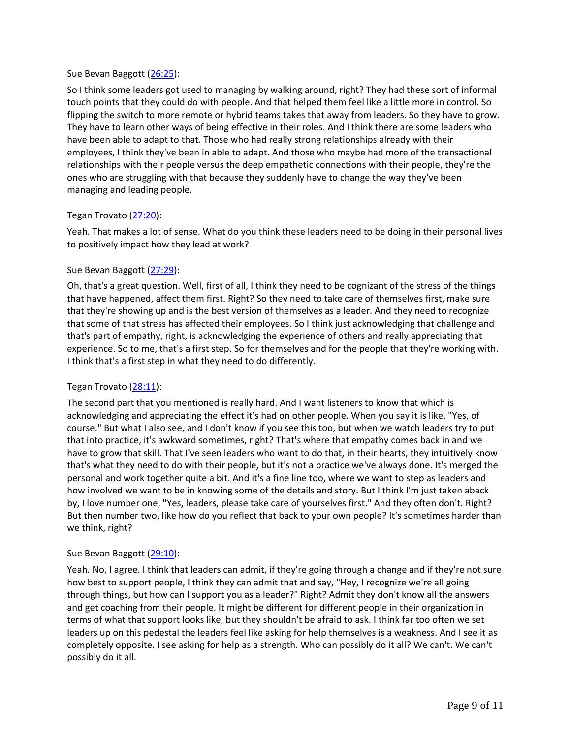### Sue Bevan Baggott [\(26:25\)](https://www.rev.com/transcript-editor/Edit?token=mdTfZPhlVj2A_1vLOXhbtqH_Fn8wI1oti1UEkFKn77L_rOysSqefEALqqkB5M24H8XEpIsGQZA-imboP1YfvFX7UStc&loadFrom=DocumentDeeplink&ts=1585.31):

So I think some leaders got used to managing by walking around, right? They had these sort of informal touch points that they could do with people. And that helped them feel like a little more in control. So flipping the switch to more remote or hybrid teams takes that away from leaders. So they have to grow. They have to learn other ways of being effective in their roles. And I think there are some leaders who have been able to adapt to that. Those who had really strong relationships already with their employees, I think they've been in able to adapt. And those who maybe had more of the transactional relationships with their people versus the deep empathetic connections with their people, they're the ones who are struggling with that because they suddenly have to change the way they've been managing and leading people.

# Tegan Trovato [\(27:20\)](https://www.rev.com/transcript-editor/Edit?token=tgpIpOLWzUjWDIw7AN6Sa-e6UwgJGIyvYvU7Hu0o4DV75VDQKc8PQ0u0QGaYQYrszVGbSqgJV-P89wYeOyr2o8YVyBk&loadFrom=DocumentDeeplink&ts=1640.4):

Yeah. That makes a lot of sense. What do you think these leaders need to be doing in their personal lives to positively impact how they lead at work?

### Sue Bevan Baggott [\(27:29\)](https://www.rev.com/transcript-editor/Edit?token=ZrjRCvCfXQdpQol4Qre0TbNsOhMm9nrnoBHWLJLiJSuboUQEfTIGUjOth3Ah4apHuFEAy6e2iYZRtkZcWip2t6SkYH0&loadFrom=DocumentDeeplink&ts=1649.8):

Oh, that's a great question. Well, first of all, I think they need to be cognizant of the stress of the things that have happened, affect them first. Right? So they need to take care of themselves first, make sure that they're showing up and is the best version of themselves as a leader. And they need to recognize that some of that stress has affected their employees. So I think just acknowledging that challenge and that's part of empathy, right, is acknowledging the experience of others and really appreciating that experience. So to me, that's a first step. So for themselves and for the people that they're working with. I think that's a first step in what they need to do differently.

# Tegan Trovato [\(28:11\)](https://www.rev.com/transcript-editor/Edit?token=EXyb90ily3JrQFUWUNyaGN6Jp9fi1U7lGYhzQhGCbLxmTfYoRfUmW2oc5hLhStwbNsRMsCAk7zuDLnqqi3iQ1_O8ruQ&loadFrom=DocumentDeeplink&ts=1691.75):

The second part that you mentioned is really hard. And I want listeners to know that which is acknowledging and appreciating the effect it's had on other people. When you say it is like, "Yes, of course." But what I also see, and I don't know if you see this too, but when we watch leaders try to put that into practice, it's awkward sometimes, right? That's where that empathy comes back in and we have to grow that skill. That I've seen leaders who want to do that, in their hearts, they intuitively know that's what they need to do with their people, but it's not a practice we've always done. It's merged the personal and work together quite a bit. And it's a fine line too, where we want to step as leaders and how involved we want to be in knowing some of the details and story. But I think I'm just taken aback by, I love number one, "Yes, leaders, please take care of yourselves first." And they often don't. Right? But then number two, like how do you reflect that back to your own people? It's sometimes harder than we think, right?

#### Sue Bevan Baggott [\(29:10\)](https://www.rev.com/transcript-editor/Edit?token=bzoRhlLJDjvegTCojfKbaYQ_DsOVXpz3-AFQF4xTIbls3eAUjtukxmjMxXUgVwVjTaPtqWbaIZxLopKYC8RWEYgBIRc&loadFrom=DocumentDeeplink&ts=1750.05):

Yeah. No, I agree. I think that leaders can admit, if they're going through a change and if they're not sure how best to support people, I think they can admit that and say, "Hey, I recognize we're all going through things, but how can I support you as a leader?" Right? Admit they don't know all the answers and get coaching from their people. It might be different for different people in their organization in terms of what that support looks like, but they shouldn't be afraid to ask. I think far too often we set leaders up on this pedestal the leaders feel like asking for help themselves is a weakness. And I see it as completely opposite. I see asking for help as a strength. Who can possibly do it all? We can't. We can't possibly do it all.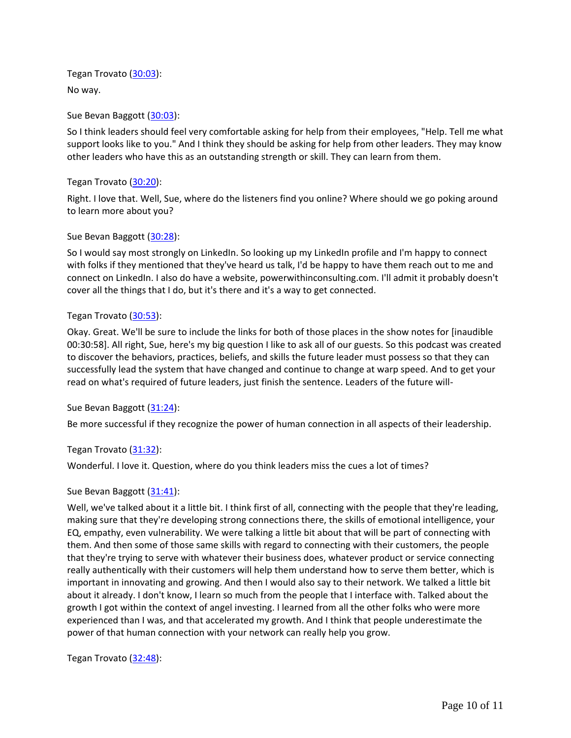Tegan Trovato [\(30:03\)](https://www.rev.com/transcript-editor/Edit?token=M8oVysp4WFl8PVnCX_4t3Szz1U0BISRUSYK-VoFI53DGe5Fox5nux91MjEo6VFKtXWWOqoPiiU6jCmEEto3XuhpSlCo&loadFrom=DocumentDeeplink&ts=1803.76): No way.

Sue Bevan Baggott [\(30:03\)](https://www.rev.com/transcript-editor/Edit?token=3HP5ypz2xrQ-zvlXzvhmrBECgeXH0vc_6AOpaquvnMCecJs0Lwng_LtMrGQcbMB9DA_DyPbtZiOey6Nq9XOCpIb0DuU&loadFrom=DocumentDeeplink&ts=1803.92):

So I think leaders should feel very comfortable asking for help from their employees, "Help. Tell me what support looks like to you." And I think they should be asking for help from other leaders. They may know other leaders who have this as an outstanding strength or skill. They can learn from them.

Tegan Trovato [\(30:20\)](https://www.rev.com/transcript-editor/Edit?token=QjSAPnFgqBxbne4AvXPMkKZBm42to7yXFG2TqJB-duTMaO5M214J8tZtHzhWIumPj_G_-_ekWWY5XgegyaFLbeUrhh4&loadFrom=DocumentDeeplink&ts=1820.08):

Right. I love that. Well, Sue, where do the listeners find you online? Where should we go poking around to learn more about you?

# Sue Bevan Baggott [\(30:28\)](https://www.rev.com/transcript-editor/Edit?token=LYLvSVO0wSGJoajQ71ocQMGhU4ixb2f2tNHHdMxsas6y0qOUSOS7vnSOZDXapt6YQEBmmB8UC8oOEsDP1nqrWoic5r8&loadFrom=DocumentDeeplink&ts=1828.47):

So I would say most strongly on LinkedIn. So looking up my LinkedIn profile and I'm happy to connect with folks if they mentioned that they've heard us talk, I'd be happy to have them reach out to me and connect on LinkedIn. I also do have a website, powerwithinconsulting.com. I'll admit it probably doesn't cover all the things that I do, but it's there and it's a way to get connected.

# Tegan Trovato [\(30:53\)](https://www.rev.com/transcript-editor/Edit?token=MKgUaOHx_GjvujlMti9wJh-R4llEgvAx8HuWHR3he-IdQDMwT2KWKdTq-h3bDy8z4XlDkuATavO8DNtBwhEGsXXouEo&loadFrom=DocumentDeeplink&ts=1853.17):

Okay. Great. We'll be sure to include the links for both of those places in the show notes for [inaudible 00:30:58]. All right, Sue, here's my big question I like to ask all of our guests. So this podcast was created to discover the behaviors, practices, beliefs, and skills the future leader must possess so that they can successfully lead the system that have changed and continue to change at warp speed. And to get your read on what's required of future leaders, just finish the sentence. Leaders of the future will-

Sue Bevan Baggott [\(31:24\)](https://www.rev.com/transcript-editor/Edit?token=goM3HY7eby_RZ8ExsGkW2EKaCQc1IrApDJGxLr0xFbfai8f5xdcg5_uHTkAZTRxeCLQrnvPIjbaNr0JSftifR4WgNv0&loadFrom=DocumentDeeplink&ts=1884.11):

Be more successful if they recognize the power of human connection in all aspects of their leadership.

# Tegan Trovato [\(31:32\)](https://www.rev.com/transcript-editor/Edit?token=YwEn_BIP3o7xz57wiE4ouxGnNgZRsQ8j_KmUnMdhaKpE9bUdP_CDWfV5jtcIYc1cVR8aST0xroan34vytdG4h3O51l8&loadFrom=DocumentDeeplink&ts=1892.63):

Wonderful. I love it. Question, where do you think leaders miss the cues a lot of times?

# Sue Bevan Baggott [\(31:41\)](https://www.rev.com/transcript-editor/Edit?token=VdvUqMi3OqRlFWSrxdk03PepNC8bPOFbrgkSiEsg2-n2kQ4TUu3vtMBNBXeYn6TnUWjPIcYmbBkVWg7ybudzoCkhS9k&loadFrom=DocumentDeeplink&ts=1901.25):

Well, we've talked about it a little bit. I think first of all, connecting with the people that they're leading, making sure that they're developing strong connections there, the skills of emotional intelligence, your EQ, empathy, even vulnerability. We were talking a little bit about that will be part of connecting with them. And then some of those same skills with regard to connecting with their customers, the people that they're trying to serve with whatever their business does, whatever product or service connecting really authentically with their customers will help them understand how to serve them better, which is important in innovating and growing. And then I would also say to their network. We talked a little bit about it already. I don't know, I learn so much from the people that I interface with. Talked about the growth I got within the context of angel investing. I learned from all the other folks who were more experienced than I was, and that accelerated my growth. And I think that people underestimate the power of that human connection with your network can really help you grow.

Tegan Trovato [\(32:48\)](https://www.rev.com/transcript-editor/Edit?token=Sqw0zxyAqioiP3jauLeAuF_vRlwF-Q8bPYhguEFarHcANlYJS-4nm_u5WffYNfeS7L7CYzL-JUg-ASxI812qk6uFChk&loadFrom=DocumentDeeplink&ts=1968.84):